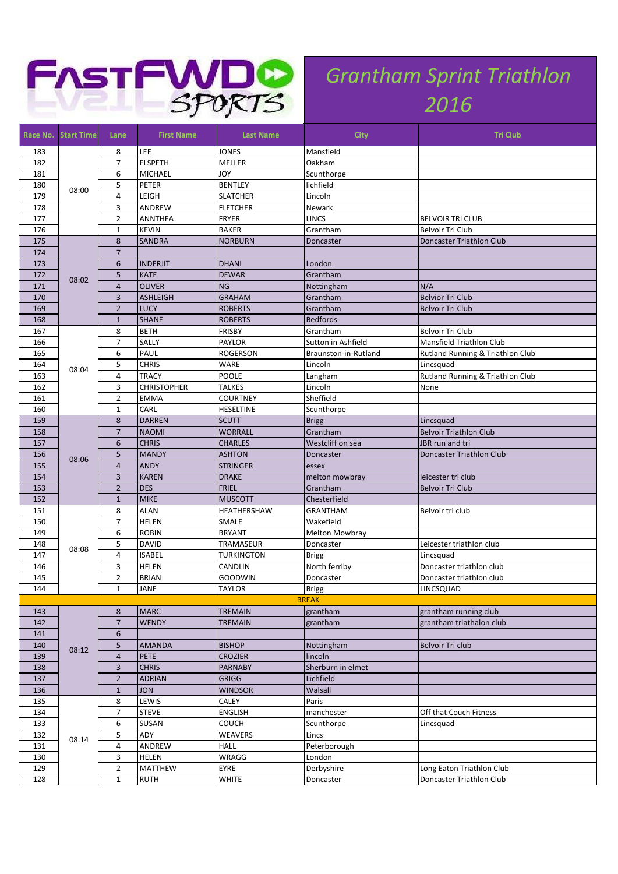

## *Grantham Sprint Triathlon*

| Race No.   | <b>Start Time</b> | Lane                | <b>First Name</b>           | <b>Last Name</b>                | <b>City</b>                | <b>Tri Club</b>                        |
|------------|-------------------|---------------------|-----------------------------|---------------------------------|----------------------------|----------------------------------------|
| 183        |                   | 8                   | LEE                         | <b>JONES</b>                    | Mansfield                  |                                        |
| 182        |                   | $\overline{7}$      | <b>ELSPETH</b>              | MELLER                          | Oakham                     |                                        |
| 181        |                   | 6                   | <b>MICHAEL</b>              | <b>JOY</b>                      | Scunthorpe                 |                                        |
| 180        | 08:00             | 5                   | PETER                       | <b>BENTLEY</b>                  | lichfield                  |                                        |
| 179        |                   | $\overline{4}$      | LEIGH                       | <b>SLATCHER</b>                 | Lincoln                    |                                        |
| 178        |                   | 3                   | ANDREW                      | <b>FLETCHER</b>                 | Newark                     |                                        |
| 177        |                   | $\overline{2}$      | <b>ANNTHEA</b>              | <b>FRYER</b>                    | LINCS                      | <b>BELVOIR TRI CLUB</b>                |
| 176        |                   | $\mathbf{1}$        | <b>KEVIN</b>                | <b>BAKER</b>                    | Grantham                   | Belvoir Tri Club                       |
| 175        | 08:02             | 8                   | <b>SANDRA</b>               | <b>NORBURN</b>                  | Doncaster                  | Doncaster Triathlon Club               |
| 174        |                   | $\overline{7}$      |                             |                                 |                            |                                        |
| 173        |                   | $6\phantom{1}6$     | <b>INDERJIT</b>             | <b>DHANI</b>                    | London                     |                                        |
| 172        |                   | 5                   | <b>KATE</b>                 | <b>DEWAR</b>                    | Grantham                   |                                        |
| 171        |                   | $\overline{4}$      | <b>OLIVER</b>               | <b>NG</b>                       | Nottingham                 | N/A                                    |
| 170        |                   | $\overline{3}$      | <b>ASHLEIGH</b>             | <b>GRAHAM</b>                   | Grantham                   | <b>Belvior Tri Club</b>                |
| 169        |                   | $\overline{2}$      | <b>LUCY</b>                 | <b>ROBERTS</b>                  | Grantham                   | <b>Belvoir Tri Club</b>                |
| 168        |                   | $\mathbf{1}$        | <b>SHANE</b>                | <b>ROBERTS</b>                  | <b>Bedfords</b>            |                                        |
| 167        |                   | 8                   | <b>BETH</b>                 | <b>FRISBY</b>                   | Grantham                   | Belvoir Tri Club                       |
| 166        |                   | $\overline{7}$      | SALLY                       | <b>PAYLOR</b>                   | Sutton in Ashfield         | Mansfield Triathlon Club               |
| 165        |                   | 6                   | PAUL                        | ROGERSON                        | Braunston-in-Rutland       | Rutland Running & Triathlon Club       |
| 164        | 08:04             | 5                   | <b>CHRIS</b>                | WARE                            | Lincoln                    | Lincsquad                              |
| 163        |                   | $\overline{4}$      | <b>TRACY</b>                | POOLE                           | Langham                    | Rutland Running & Triathlon Club       |
| 162        |                   | 3                   | <b>CHRISTOPHER</b>          | <b>TALKES</b>                   | Lincoln                    | None                                   |
| 161        |                   | $\overline{2}$      | <b>EMMA</b>                 | <b>COURTNEY</b>                 | Sheffield                  |                                        |
| 160        |                   | $\mathbf{1}$        | CARL                        | HESELTINE                       | Scunthorpe                 |                                        |
| 159        |                   | 8                   | <b>DARREN</b>               | <b>SCUTT</b>                    | <b>Brigg</b>               | Lincsquad                              |
| 158        |                   | $\overline{7}$      | <b>NAOMI</b>                | <b>WORRALL</b>                  | Grantham                   | <b>Belvoir Triathlon Club</b>          |
| 157        |                   | 6                   | <b>CHRIS</b>                | <b>CHARLES</b>                  | Westcliff on sea           | JBR run and tri                        |
| 156        | 08:06             | 5<br>$\overline{4}$ | <b>MANDY</b>                | <b>ASHTON</b>                   | Doncaster                  | Doncaster Triathlon Club               |
| 155<br>154 |                   | $\overline{3}$      | <b>ANDY</b><br><b>KAREN</b> | <b>STRINGER</b><br><b>DRAKE</b> | essex                      |                                        |
|            |                   | $\overline{2}$      | <b>DES</b>                  | <b>FRIEL</b>                    | melton mowbray<br>Grantham | leicester tri club<br>Belvoir Tri Club |
| 153<br>152 |                   | $\mathbf{1}$        | <b>MIKE</b>                 | <b>MUSCOTT</b>                  | Chesterfield               |                                        |
| 151        |                   | 8                   | <b>ALAN</b>                 | HEATHERSHAW                     | <b>GRANTHAM</b>            | Belvoir tri club                       |
| 150        |                   | $\overline{7}$      | <b>HELEN</b>                | SMALE                           | Wakefield                  |                                        |
| 149        |                   | 6                   | <b>ROBIN</b>                | <b>BRYANT</b>                   | <b>Melton Mowbray</b>      |                                        |
| 148        |                   | 5                   | <b>DAVID</b>                | TRAMASEUR                       | Doncaster                  | Leicester triathlon club               |
| 147        | 08:08             | $\overline{4}$      | <b>ISABEL</b>               | <b>TURKINGTON</b>               | <b>Brigg</b>               | Lincsquad                              |
| 146        |                   | 3                   | <b>HELEN</b>                | CANDLIN                         | North ferriby              | Doncaster triathlon club               |
| 145        |                   | $\overline{2}$      | <b>BRIAN</b>                | <b>GOODWIN</b>                  | Doncaster                  | Doncaster triathlon club               |
| 144        |                   | $\mathbf 1$         | JANE                        | <b>TAYLOR</b>                   | Brigg                      | LINCSQUAD                              |
|            |                   |                     |                             |                                 | <b>BREAK</b>               |                                        |
| 143        |                   | 8                   | <b>MARC</b>                 | <b>TREMAIN</b>                  | grantham                   | grantham running club                  |
| 142        |                   | $\overline{7}$      | <b>WENDY</b>                | <b>TREMAIN</b>                  | grantham                   | grantham triathalon club               |
| 141        |                   | $\sqrt{6}$          |                             |                                 |                            |                                        |
| 140        |                   | 5                   | <b>AMANDA</b>               | <b>BISHOP</b>                   | Nottingham                 | Belvoir Tri club                       |
| 139        | 08:12             | $\overline{4}$      | <b>PETE</b>                 | <b>CROZIER</b>                  | lincoln                    |                                        |
| 138        |                   | $\overline{3}$      | <b>CHRIS</b>                | <b>PARNABY</b>                  | Sherburn in elmet          |                                        |
| 137        |                   | $\overline{2}$      | <b>ADRIAN</b>               | <b>GRIGG</b>                    | Lichfield                  |                                        |
| 136        |                   | $\mathbf{1}$        | <b>JON</b>                  | <b>WINDSOR</b>                  | Walsall                    |                                        |
| 135        |                   | 8                   | LEWIS                       | CALEY                           | Paris                      |                                        |
| 134        |                   | $\overline{7}$      | <b>STEVE</b>                | <b>ENGLISH</b>                  | manchester                 | Off that Couch Fitness                 |
| 133        |                   | 6                   | SUSAN                       | COUCH                           | Scunthorpe                 | Lincsquad                              |
| 132        | 08:14             | 5                   | ADY                         | <b>WEAVERS</b>                  | Lincs                      |                                        |
| 131        |                   | $\overline{4}$      | ANDREW                      | HALL                            | Peterborough               |                                        |
| 130        |                   | 3                   | <b>HELEN</b>                | WRAGG                           | London                     |                                        |
| 129        |                   | $\overline{2}$      | <b>MATTHEW</b>              | EYRE                            | Derbyshire                 | Long Eaton Triathlon Club              |
| 128        |                   | $\mathbf{1}$        | <b>RUTH</b>                 | <b>WHITE</b>                    | Doncaster                  | Doncaster Triathlon Club               |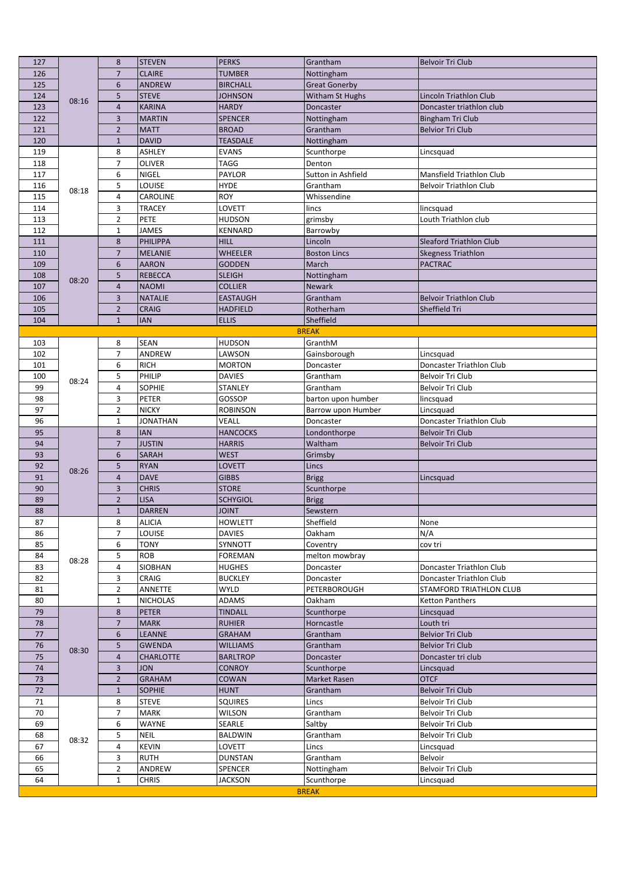| 127      |       | 8                       | <b>STEVEN</b>               | <b>PERKS</b>            | Grantham                  | Belvoir Tri Club                     |
|----------|-------|-------------------------|-----------------------------|-------------------------|---------------------------|--------------------------------------|
| 126      |       | $\overline{7}$          | <b>CLAIRE</b>               | <b>TUMBER</b>           | Nottingham                |                                      |
| 125      |       | 6                       | <b>ANDREW</b>               | <b>BIRCHALL</b>         | <b>Great Gonerby</b>      |                                      |
| 124      | 08:16 | 5                       | <b>STEVE</b>                | <b>JOHNSON</b>          | Witham St Hughs           | Lincoln Triathlon Club               |
| 123      |       | $\overline{\mathbf{4}}$ | <b>KARINA</b>               | <b>HARDY</b>            | Doncaster                 | Doncaster triathlon club             |
| 122      |       | 3                       | <b>MARTIN</b>               | <b>SPENCER</b>          | Nottingham                | <b>Bingham Tri Club</b>              |
| 121      |       | $\overline{2}$          | <b>MATT</b>                 | <b>BROAD</b>            | Grantham                  | <b>Belvior Tri Club</b>              |
| 120      |       | $\mathbf{1}$            | <b>DAVID</b>                | <b>TEASDALE</b>         | Nottingham                |                                      |
| 119      |       | 8                       | <b>ASHLEY</b>               | <b>EVANS</b>            | Scunthorpe                | Lincsquad                            |
| 118      |       | $\overline{7}$          | <b>OLIVER</b>               | <b>TAGG</b>             | Denton                    |                                      |
| 117      |       | 6                       | <b>NIGEL</b>                | PAYLOR                  | Sutton in Ashfield        | Mansfield Triathlon Club             |
| 116      | 08:18 | 5                       | LOUISE                      | <b>HYDE</b>             | Grantham                  | <b>Belvoir Triathlon Club</b>        |
| 115      |       | 4                       | CAROLINE                    | <b>ROY</b>              | Whissendine               |                                      |
| 114      |       | 3                       | <b>TRACEY</b>               | LOVETT                  | lincs                     | lincsquad                            |
| 113      |       | $\overline{2}$          | PETE                        | HUDSON                  | grimsby                   | Louth Triathlon club                 |
| 112      |       | $\mathbf{1}$            | JAMES                       | KENNARD                 | Barrowby                  |                                      |
| 111      |       | 8                       | PHILIPPA                    | <b>HILL</b>             | Lincoln                   | Sleaford Triathlon Club              |
| 110      |       | $\overline{7}$          | <b>MELANIE</b>              | <b>WHEELER</b>          | <b>Boston Lincs</b>       | <b>Skegness Triathlon</b>            |
| 109      |       | 6                       | <b>AARON</b>                | <b>GODDEN</b>           | March                     | <b>PACTRAC</b>                       |
| 108      | 08:20 | 5                       | <b>REBECCA</b>              | <b>SLEIGH</b>           | Nottingham                |                                      |
| 107      |       | $\overline{4}$          | <b>NAOMI</b>                | <b>COLLIER</b>          | <b>Newark</b>             |                                      |
| 106      |       | 3                       | <b>NATALIE</b>              | <b>EASTAUGH</b>         | Grantham                  | <b>Belvoir Triathlon Club</b>        |
| 105      |       | $\overline{2}$          | <b>CRAIG</b>                | <b>HADFIELD</b>         | Rotherham                 | Sheffield Tri                        |
| 104      |       | $\mathbf{1}$            | <b>IAN</b>                  | <b>ELLIS</b>            | Sheffield<br><b>BREAK</b> |                                      |
| 103      |       | 8                       | SEAN                        | <b>HUDSON</b>           | GranthM                   |                                      |
| 102      |       | $\overline{7}$          | ANDREW                      | LAWSON                  | Gainsborough              | Lincsquad                            |
| 101      |       | 6                       | <b>RICH</b>                 | <b>MORTON</b>           | Doncaster                 | Doncaster Triathlon Club             |
| 100      |       | 5                       | PHILIP                      | <b>DAVIES</b>           | Grantham                  | Belvoir Tri Club                     |
| 99       | 08:24 | 4                       | SOPHIE                      | STANLEY                 | Grantham                  | Belvoir Tri Club                     |
| 98       |       | 3                       | PETER                       | GOSSOP                  | barton upon humber        | lincsquad                            |
| 97       |       | $\overline{2}$          | <b>NICKY</b>                | <b>ROBINSON</b>         | Barrow upon Humber        | Lincsquad                            |
| 96       |       | $\mathbf{1}$            | <b>JONATHAN</b>             | <b>VEALL</b>            | Doncaster                 | Doncaster Triathlon Club             |
| 95       |       | 8                       | <b>IAN</b>                  | <b>HANCOCKS</b>         | Londonthorpe              | <b>Belvoir Tri Club</b>              |
| 94       |       | $\overline{7}$          | <b>JUSTIN</b>               | <b>HARRIS</b>           | Waltham                   | <b>Belvoir Tri Club</b>              |
| 93       |       | 6                       | SARAH                       | <b>WEST</b>             | Grimsby                   |                                      |
| 92       | 08:26 | 5                       | <b>RYAN</b>                 | LOVETT                  | Lincs                     |                                      |
| 91       |       | $\overline{4}$          | <b>DAVE</b>                 | <b>GIBBS</b>            | <b>Brigg</b>              | Lincsquad                            |
| 90       |       | 3                       | <b>CHRIS</b>                | <b>STORE</b>            | Scunthorpe                |                                      |
| 89       |       | $\overline{2}$          | <b>LISA</b>                 | <b>SCHYGIOL</b>         | <b>Brigg</b>              |                                      |
| 88       |       |                         | <b>DARREN</b>               | <b>TINIOL</b>           | Sewstern                  |                                      |
|          |       | $\mathbf{1}$            |                             |                         |                           |                                      |
| 87       |       | 8                       | <b>ALICIA</b>               | <b>HOWLETT</b>          | Sheffield                 | None                                 |
| 86       |       | $\overline{7}$          | LOUISE                      | <b>DAVIES</b>           | Oakham                    | N/A                                  |
| 85       |       | 6                       | <b>TONY</b>                 | SYNNOTT                 | Coventry                  | cov tri                              |
| 84       | 08:28 | 5                       | <b>ROB</b>                  | <b>FOREMAN</b>          | melton mowbray            |                                      |
| 83       |       | 4                       | SIOBHAN                     | HUGHES                  | Doncaster                 | Doncaster Triathlon Club             |
| 82       |       | 3                       | CRAIG                       | <b>BUCKLEY</b>          | Doncaster                 | Doncaster Triathlon Club             |
| 81       |       | $\overline{2}$          | ANNETTE                     | <b>WYLD</b>             | PETERBOROUGH              | STAMFORD TRIATHLON CLUB              |
| 80       |       | $\mathbf{1}$            | <b>NICHOLAS</b>             | <b>ADAMS</b>            | Oakham                    | <b>Ketton Panthers</b>               |
| 79       |       | 8                       | <b>PETER</b>                | <b>TINDALL</b>          | Scunthorpe                | Lincsquad                            |
| 78       |       | $\overline{7}$          | <b>MARK</b>                 | <b>RUHIER</b>           | Horncastle                | Louth tri                            |
| 77       |       | 6                       | LEANNE                      | GRAHAM                  | Grantham                  | <b>Belvior Tri Club</b>              |
| 76       | 08:30 | 5                       | <b>GWENDA</b>               | <b>WILLIAMS</b>         | Grantham                  | <b>Belvior Tri Club</b>              |
| 75       |       | $\overline{4}$          | <b>CHARLOTTE</b>            | <b>BARLTROP</b>         | Doncaster                 | Doncaster tri club                   |
| 74       |       | 3                       | <b>JON</b>                  | <b>CONROY</b>           | Scunthorpe                | Lincsquad                            |
| 73       |       | $\overline{2}$          | <b>GRAHAM</b>               | COWAN                   | <b>Market Rasen</b>       | <b>OTCF</b>                          |
| 72       |       | $\mathbf{1}$            | <b>SOPHIE</b>               | <b>HUNT</b>             | Grantham                  | <b>Belvoir Tri Club</b>              |
| 71       |       | 8<br>$\overline{7}$     | <b>STEVE</b><br><b>MARK</b> | <b>SQUIRES</b>          | Lincs                     | Belvoir Tri Club                     |
| 70<br>69 |       | 6                       | <b>WAYNE</b>                | <b>WILSON</b><br>SEARLE | Grantham                  | Belvoir Tri Club<br>Belvoir Tri Club |
| 68       |       | 5                       | <b>NEIL</b>                 | BALDWIN                 | Saltby<br>Grantham        | Belvoir Tri Club                     |
| 67       | 08:32 | $\overline{4}$          | <b>KEVIN</b>                | LOVETT                  | Lincs                     | Lincsquad                            |
| 66       |       | 3                       | <b>RUTH</b>                 | <b>DUNSTAN</b>          | Grantham                  | Belvoir                              |
| 65       |       | $\overline{2}$          | ANDREW                      | SPENCER                 | Nottingham                | Belvoir Tri Club                     |
| 64       |       | $\mathbf{1}$            | <b>CHRIS</b>                | <b>JACKSON</b>          | Scunthorpe                | Lincsquad                            |